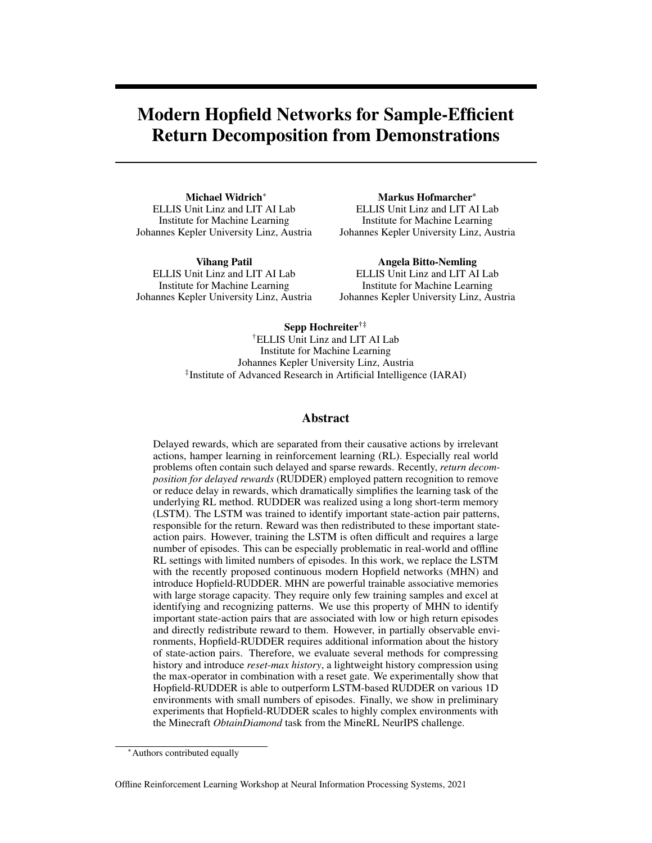# Modern Hopfield Networks for Sample-Efficient Return Decomposition from Demonstrations

Michael Widrich<sup>∗</sup> ELLIS Unit Linz and LIT AI Lab Institute for Machine Learning Johannes Kepler University Linz, Austria

Vihang Patil ELLIS Unit Linz and LIT AI Lab Institute for Machine Learning Johannes Kepler University Linz, Austria

Markus Hofmarcher\* ELLIS Unit Linz and LIT AI Lab Institute for Machine Learning Johannes Kepler University Linz, Austria

Angela Bitto-Nemling ELLIS Unit Linz and LIT AI Lab Institute for Machine Learning Johannes Kepler University Linz, Austria

Sepp Hochreiter†‡ †ELLIS Unit Linz and LIT AI Lab Institute for Machine Learning Johannes Kepler University Linz, Austria ‡ Institute of Advanced Research in Artificial Intelligence (IARAI)

#### Abstract

Delayed rewards, which are separated from their causative actions by irrelevant actions, hamper learning in reinforcement learning (RL). Especially real world problems often contain such delayed and sparse rewards. Recently, *return decomposition for delayed rewards* (RUDDER) employed pattern recognition to remove or reduce delay in rewards, which dramatically simplifies the learning task of the underlying RL method. RUDDER was realized using a long short-term memory (LSTM). The LSTM was trained to identify important state-action pair patterns, responsible for the return. Reward was then redistributed to these important stateaction pairs. However, training the LSTM is often difficult and requires a large number of episodes. This can be especially problematic in real-world and offline RL settings with limited numbers of episodes. In this work, we replace the LSTM with the recently proposed continuous modern Hopfield networks (MHN) and introduce Hopfield-RUDDER. MHN are powerful trainable associative memories with large storage capacity. They require only few training samples and excel at identifying and recognizing patterns. We use this property of MHN to identify important state-action pairs that are associated with low or high return episodes and directly redistribute reward to them. However, in partially observable environments, Hopfield-RUDDER requires additional information about the history of state-action pairs. Therefore, we evaluate several methods for compressing history and introduce *reset-max history*, a lightweight history compression using the max-operator in combination with a reset gate. We experimentally show that Hopfield-RUDDER is able to outperform LSTM-based RUDDER on various 1D environments with small numbers of episodes. Finally, we show in preliminary experiments that Hopfield-RUDDER scales to highly complex environments with the Minecraft *ObtainDiamond* task from the MineRL NeurIPS challenge.

<sup>∗</sup>Authors contributed equally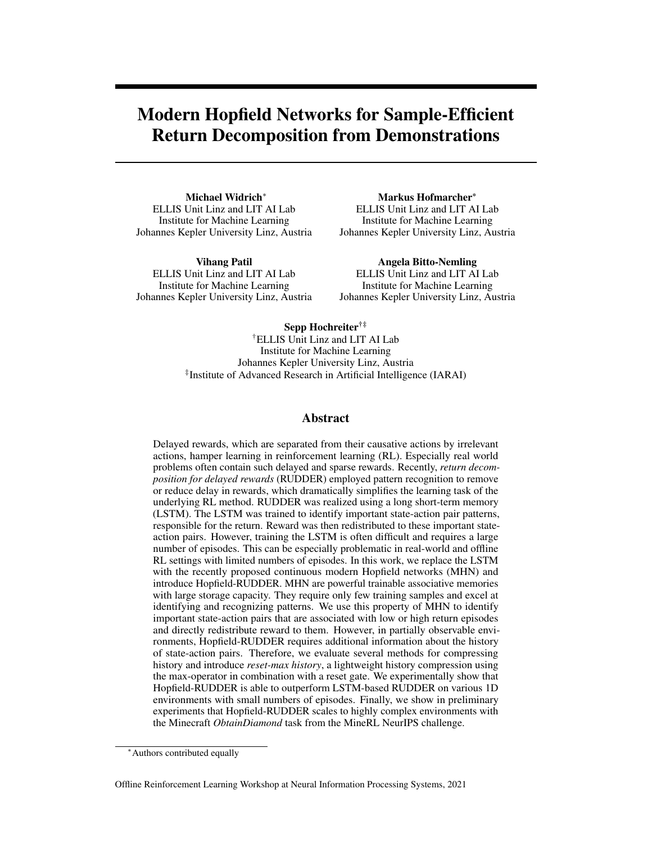## Introduction

Recent advances in reinforcement learning (RL) have resulted in impressive models that are capable of surpassing humans in games [\[30,](#page-8-0) [18,](#page-7-0) [27\]](#page-8-1). However, RL is still waiting for its breakthrough in real world applications, which are often characterized by delayed and sparse rewards [\[7\]](#page-7-1). Delayed rewards are given later than their causative action, separated by irrelevant state-action pairs  $[28]$ . This delay hampers and slows down learning [\[2,](#page-7-2) [21,](#page-8-3) [17\]](#page-7-3). Recently, [\[2\]](#page-7-2) propose *return decomposition for delayed rewards* (RUDDER) to use pattern recognition to detect the causative actions, which can be used to remove or alleviate these delays. As a consequence, RUDDER dramatically simplifies and speeds up learning of the underlying RL algorithms. RUDDER can be realized in different ways, including a long short-term memory (LSTM)  $[10]$  in  $[2]$  or sequence alignment in  $[19]$ .

But these realizations of RUDDER come with drawbacks. LSTMs require a large number of samples, while sequence alignment is difficult to scale to large state-action spaces. Thus, there is a need for scalable and sample efficient realization of RUDDER, especially in settings with limited numbers of episodes, such as in real world applications and offline RL.

A key idea of RUDDER is to identify important patterns in the state-action sequence. This is a task that associative memories, such as the recently introduced continuous modern Hopfield networks (MHN) [\[23\]](#page-8-5), excel at. In this work, we introduce Hopfield-RUDDER, a realization of RUDDER based on MHN to identify important state-action pairs. We show that Hopfield-RUDDER is scalable and can reduce the reward delay even with a small number of samples.

In related work, adapted Transformer [\[29\]](#page-8-6) architectures, which share characteristics of MHN, for RL have been proposed. In  $[6]$ , RL is reformulated as a conditional sequence modelling task for *offline* RL that can be learned by a *Decision Transformer*. [\[14\]](#page-7-6) uses a *linear Transformer* [\[15\]](#page-7-7) as an outer-product-based fast-weight programmer  $[24, 25]$  $[24, 25]$  $[24, 25]$ . However, in contrast to Hopfield-RUDDER, these approaches require large amounts of data, as they are based on Transformer architectures. Furthermore, Hopfield-RUDDER can speed up any learning algorithm that relies on a delayed reward signal.

Our main contributions are: We (i) introduce modern Hopfield networks for return decomposition for delayed rewards (Hopfield-RUDDER), (ii) propose and compare different methods, such as *reset-max history*, for history compression for Hopfield-RUDDER in POMDP environments, (iii) show that Hopfield-RUDDER outperforms LSTM-based RUDDER on 1D environments with small numbers of samples, and (iv) perform preliminary experiments in the MineRL Minecraft environment indicating that Hopfield-RUDDER scales to large and complex environments.

## Review

We define our setting as a finite Markov decision process (MDP) or a finite partially observable Markov decision process (POMDP) to be a 4-tuple of  $(S, A, \mathcal{R}, p)$  of finite sets S with states s (random variable  $S_t$  at time t), A with actions a (random variable  $A_t$  at time t), R with rewards r (random variable  $R_t$ at time t), and state-reward transition distribution  $p(S_{t+1} = s_{t+1}, R_{t+1} = r_t j S_t = s_t, A_t = a_t)$ . The return of a sequence of length T at time  $t = f_1, \ldots, Tg$  is defined as  $g_t = \sum_{k=0}^{T-t} r_{t+k}$ .

RUDDER. Complex tasks are often hierarchically composed of sub-tasks. Hence, the Q-function of an optimal policy often resembles a step function [\[2\]](#page-7-2). Such steps indicate patterns like achievements, failures, accomplished sub-tasks, or changes of the environment. RUDDER reduces the delay in the rewards by identifying these patterns and moving (redistributing) the rewards to the causative state-action patterns. [\[2\]](#page-7-2) propose an LSTM as realization of RUDDER. The LSTM predicts the return at the end of an episode as early as possible. These predictions  $\hat{g}$  are then used to redistribute the reward:  $r_t = \hat{g}_t$   $\hat{g}_{t-1}$ . reward:  $r_t = \hat{g}_t$ 

The redistributed reward serves as reward for a subsequent learning method and can be used to optimize a policy. However, training an LSTM network requires a large amount of episodes, which are often difficult or expensive to obtain.

Modern Hopfield networks. Hopfield networks are energy-based, binary associative memories, which popularized artificial neural networks in the 1980s  $[11, 12]$  $[11, 12]$  $[11, 12]$ . Associative memory networks have been designed to store and retrieve samples. Their storage capacity can be considerably increased by polynomial terms in the energy function [\[5,](#page-7-10) [20,](#page-8-9) [3,](#page-7-11) [8,](#page-7-12) [1,](#page-7-13) [13,](#page-7-14) [4,](#page-7-15) [16\]](#page-7-16). In contrast to these binary memory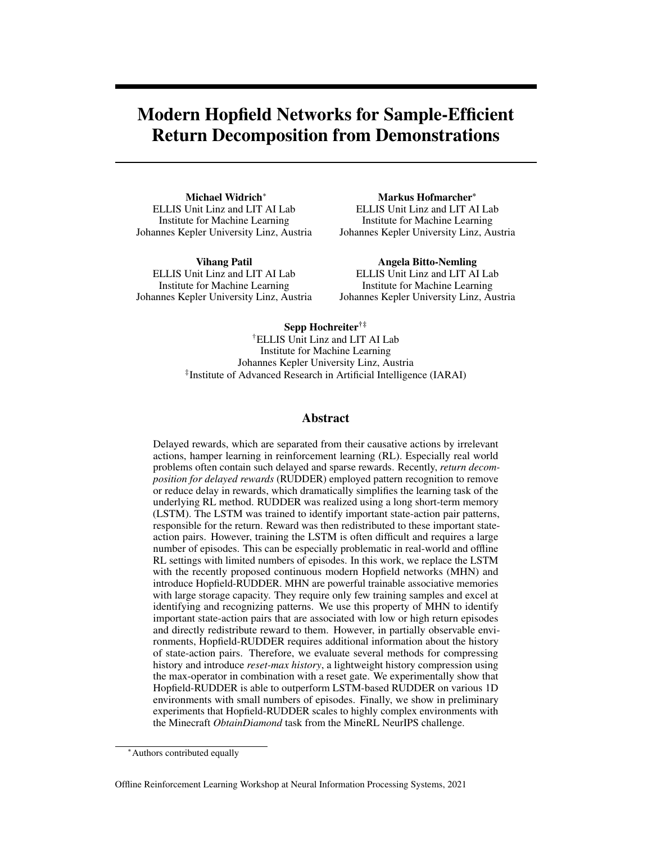<span id="page-2-0"></span>

Figure 1: Illustration of modern Hopfield networks for return decomposition in Hopfield-RUDDER. The associative memory of modern Hopfield networks associates 2 time steps (raw state patterns) U of a new episode with 7 time steps (stored patterns) Y of previously observed episodes and their corresponding observed returns  $G$ . Thereby, the state patterns  $U$  are associated with estimated returns G. U and Y are transformed via  $m_{state}$  and  $m_{stored}$  before association, respectively, and can include information about previous state-action pairs, such as via reset-max history. Dotted rectangles show a single raw and transformed stored pattern with its observed return.

networks, we use continuous associative memory networks with very high storage capacity. These modern Hopfield networks for deep learning architectures have an energy function with continuous states and can retrieve samples with only one update [\[23,](#page-8-5) [22\]](#page-8-10). Modern Hopfield Networks have already been successfully applied to immune repertoire classification [\[31\]](#page-8-11) and chemical reaction prediction [\[26\]](#page-8-12). There they serve as powerful associative memories with large memory capacity and excel at pattern-recognition as they associate inputs with similar patterns in their memory.

#### Hopfield-RUDDER

The application of MHN for RUDDER naturally follows from the idea of identifying patterns: Patterns, e.g. state-action pairs, of observed episodes with known returns are stored in the memory of the MHN. A new pattern can then be used to query this memory for similar patterns and their returns. This yields an estimated return of the new pattern, which can be used to redistribute the rewards.

Fig. [1](#page-2-0) illustrates this in detail: The MHN associates N *stored patterns*  $Y = f y_i \mathcal{G}_{i=1}^N$  from previously observed episodes and their corresponding observed returns  $G = fg_i g_{i=1}^N$  with  $M$  new *state patterns*  $U = \hat{u}_i g_{i=1}^M$ . As such, it directly associates the unknown state patterns  $U$  with estimated returns  $\hat{G} = f \hat{g}_i g_{i=1}^M$ .  $\beta$  is a hyper-parameter controlling the temperature of the softmax function.

The raw state patterns U and stored patterns Y may be transformed by functions  $m_{state}$  and  $m_{stored}$ , for example with linear mappings or multiple hidden layers, as in  $[23, 31]$  $[23, 31]$  $[23, 31]$ .

This results in a return decomposition function  $\psi$  in the form of

$$
\widehat{G} = \psi(\boldsymbol{Y}, \boldsymbol{G}, \boldsymbol{U}; \beta) = \text{softmax}\left(\beta \, m_{state} \left(\boldsymbol{U}^T\right)^T \, m_{stored} \left(\boldsymbol{Y}^T\right)\right) \, \boldsymbol{G}. \tag{1}
$$

The redistributed reward  $r_t$  at time t can then be obtained by computing the differences of the estimated return values as

$$
r_t = \hat{g}_t \quad \hat{g}_{t-1}.
$$
\n<sup>(2)</sup>

For state patterns  $u_t$  and  $u_{t-1}$  at times t and t 1 this results in

$$
r_t = \psi(\boldsymbol{Y}, \boldsymbol{G}, \boldsymbol{u}_t; \beta) \quad \psi(\boldsymbol{Y}, \boldsymbol{G}, \boldsymbol{u}_{t-1}; \beta), \tag{3}
$$

where Y contains a representation of the stored state-action pairs  $f(s_i, a_i)g_{i=1}^N$  with their known corresponding returns  $\bar{G}$  and  $u_t$  represents a state-action pair  $(s_t, a_t)$  without known return.

In the simplest case, a raw state pattern u or stored pattern y is a vector containing the observation  $s_t$ and action  $a_t$  at time t in an episode. The estimated return for a single state pattern  $u_t$  at time t in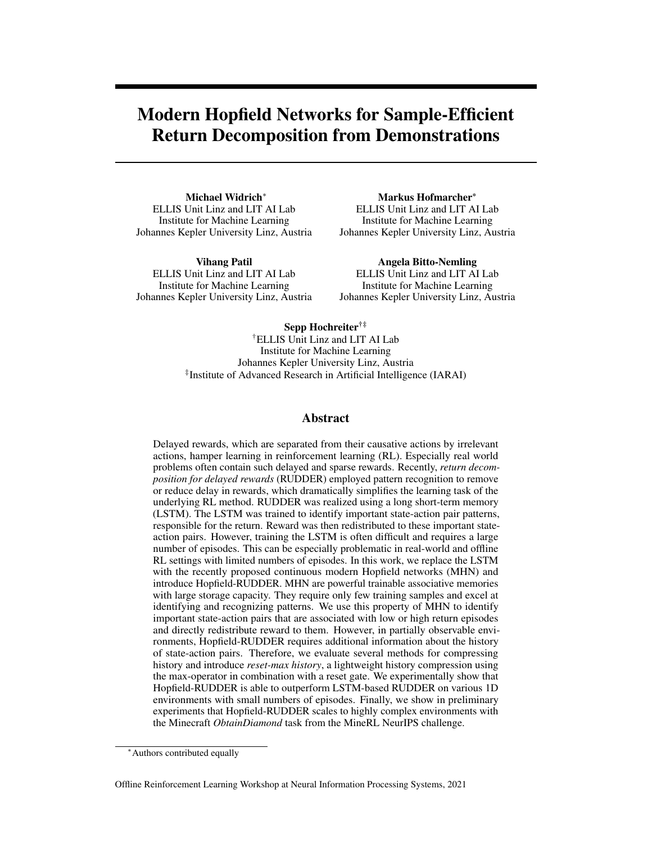this case is  $\hat{g}_t = \psi(Y, G, s_t, a_t; \beta)$  with the redistributed reward  $r_t$  computed from state patterns  $u_{t-1}$  and  $u_t$  as  $r_t = \hat{g}_t$   $\hat{g}_{t-1} = \psi(Y, G, s_t, a_t; \beta)$   $\psi(Y, G, s_{t-1}, a_{t-1}; \beta)$ .

**History compression and reset-max history.** Assume a key event at time  $t_1$ , e.g. the collection of a key, that can result in a reward at time  $t_2$ , e.g. the opening of a chest. In a POMDP, this key event might only be observable at  $t_1$  but not at  $t_2$ , e.g. the observation space contains no information whether a key has been collected already. Assume further that observation  $s_t$  and action  $a_t$  are used as state or stored pattern: The association of the pattern at  $t_2$  with a return, which depends on whether a key was collected at  $t_1$ , may severely suffer from the missing information.

To address this problem, the state and stored patterns can be augmented by the history of the previous state-action pairs. However, retaining the complete history of a state-action pair and including it in the state and stored patterns would not be feasible for environments with large observation spaces or long episode sequences.

As the purpose of this history is to enable the detection and storage of key events, we propose a fast and light-weight history compression method: the *reset-max history*. Assuming a vector  $v^o{}_t \supseteq \mathbb{R}^{K \times 1}$ with K features that contains a representation of the state-action pair  $(s_t, a_t)$  at time  $t = f1, \ldots, Tg$ , the reset-max history features  $v^{\hat{h}}t \n\supseteq \mathbb{R}^{J\times 1}$  with J features, and the final state or stored pattern  $v_t \supseteq \mathbb{R}^{(J+K)\times 1}$  is computed as follows:

$$
\boldsymbol{v}_{t} = \left[\boldsymbol{v}^{h}{}_{t}; \boldsymbol{v}^{o}{}_{t}\right] ; \quad \boldsymbol{v}^{h}{}_{t} = \max_{i=1,\dots,(t-1)} \left(\boldsymbol{v}^{o}{}_{i}\right) \quad f_{reset}\left(\boldsymbol{v}^{h}{}_{t-1}, \boldsymbol{v}^{o}{}_{t}\right) \tag{4}
$$

with  $v^h$ <sup>0</sup> initialized with 1 and

$$
f_{reset}\left(\boldsymbol{v}^{h}_{t-1}, \boldsymbol{v}^{o}_{t}\right) \ = \ \sigma\left(\boldsymbol{W}\left[\boldsymbol{v}^{h}_{t-1}; \boldsymbol{v}^{o}_{t}\right]\right),\tag{5}
$$

where  $\left[\cdot\right]$  is the operator for vertical concatenation, the max operator is used to store the previously observed maximum feature values, and the reset gate  $f_{reset}$  utilizes the sigmoid activation function  $\sigma$ and learned weight matrix  $W 2 \mathbb{R}^{J \times (J + K)}$  to reset the stored maximum feature values. Notably, this changes the return decomposition function  $\psi$  for a state pattern  $u_t$  to be dependent on all previous and current state-action pairs  $f(s_i, a_i) g_{i=1}^t$  in the episode:  $\hat{g}_t = \psi(\bm{Y}, \bm{G}, s_1, \ldots, t, a_1, \ldots, t; \beta, \bm{W})$ .

## Experiments

In this section, we first compare different history compression methods on multiple 1D toy environments. Subsequently, we compare the performance of Hopfield-RUDDER to the originally proposed LSTM-RUDDER. Finally, we visually analyse the reward redistribution of Hopfield-RUDDER on the difficult and complex task of collecting a diamond in the MineRL Minecraft environment. We note that all experiments are performed in an offline fashion, using random policies or human demonstrations.

1D key-chest environment. We designed 16 different versions of a 1D environment, the *1D keychest environment*, in order to evaluate the performance of Hopfield-RUDDER, different history compression methods, and to compare Hopfield-RUDDER to LSTM-RUDDER. We use a reward redistribution score  $rr\_score$ , which is based on the known optimal policy, for this evaluation and comparison. For more details see App. [A1.](#page-9-0)

Environment details. The 1D key-chest environment is illustrated in Fig. [2.](#page-4-0) The agent starts at position *s* in the middle. At each position it can move either one position to the right or to the left, except for the left-most and right-most position, where further movement to the left and right, respectively, is ignored. If the agent visits position *k*, it collects 1 *key*. If the agent visits position *s*, it loses all collected *keys* with a probability of  $p_l$ . If the agent visits position *c* while holding  $n_k$  *keys*, it will receive 1 reward at the end of the episode. All episodes have the same fixed length. A reward of 0 or 1 is given at the end of each episode, depending on whether the chest was opened or not.

We evaluate the performance of RUDDER on different versions of this environment with  $p_l = f0, 0.5q$ and  $n_k = f_1, 3g$ . We consider fully observable MDP and partially observable POMDP versions of the environment. Furthermore, we add  $n_{rnd} = \tau_0$ ,  $n_{obs}$  g features that contain random values  $\tau_0$ , 1g to the observation space, where  $n_{obs}$  is the number of features of the original observation space. In total, we created 16 different versions of this environment (see Tab. [1](#page-5-0) and App. [A1\)](#page-9-0).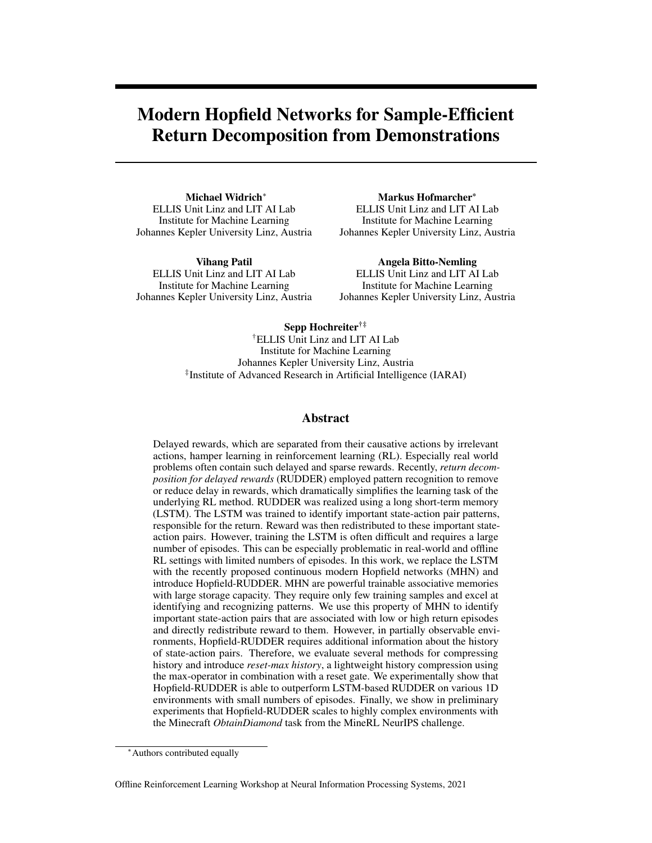To redistribute reward in this environment successfully, RUDDER has to identify that position *k* needs to be visited  $n_k$  times before visiting position *c*. Furthermore, RUDDER has to identify that the *key*-collection process has to be restarted if the *keys* are lost at *s*.

<span id="page-4-0"></span>

Figure 2: Illustration of 1D key-chest environment with special states *k*, *s*, *c*, and 9 states in total.

**Reward redistribution score** By design, the optimal of the two available actions at any state  $s$ in the 1D key-chest environment is known. In particular, at each state  $s_t$  at time t in an episode, the agent can either take a left or right action  $a_t \, 2 \, \bar{a}_l, a_r \bar{g}$ , which can be a correct, incorrect, or irrelevant action. We use this knowledge to compute a score  $rr\_score$  for the quality of the reward redistribution  $\psi(.)$  for an episode with time  $t = f1, \dots, Tg$  as follows:

$$
rr\_score = 0.5 + \frac{1}{2T} \sum_{t=1}^{T} scr(f(s_i, a_i)g_{i=1}^{t-1}, s_t),
$$
\n(6)

where scr(:) assigns a score  $f(1, 0, 1q$  for the redistributed reward  $r_t$  at each time t.

In detail, action left  $a_l$  is correct if  $q^*(s_t, a_l) > q^*(s_t, a_r)$ . Action right  $a_r$  is correct if  $q^*(s_t, a_r) >$  $q^*(s_t, a_t)$ . An action is irrelevant if  $q^*(s_t, a_t) = q^*(s_t, a_t)$ . Here,  $q^*(s_t, a_t)$  is the Q-function of the optimal policy  $\pi^*$ .

The redistributed reward  $r_t = \psi(.)$  is correct if  $r_t$  for the correct action is higher than for the incorrect action. If the redistributed reward is correct,  $scr$ (:) assigns a score of 1, if it is incorrect a score of -1. If the action is irrelevant, the reward redistribution receives a score of 0.

**Experimental setup.** We sample a large test set of  $1,000$  episodes and small training sets of  $f8, 16, 32, 64, 128, 256, 512$  g episodes, using a random agent. Half of the episodes have a return of 0 and 1 in each set, with fixed sequence lengths between 32 and 148 times per episode (see App. [A1\)](#page-9-0).

Reset-max history outperforms other history compression methods. We first analyze the performance of Hopfield-RUDDER, where the training set is used as stored patterns. For this, we evaluate Hopfield-RUDDER without history information and with 5 different versions of history compression: (i) feature-wise max-pooling, (ii) feature-wise sum-pooling, (iii) fully-connected LSTM (LSTMf), (iv) sparsely-connected LSTM (LSTMs), and (v) reset-max history, as detailed in App. [A1.2.](#page-9-1) Furthermore, we evaluate each setting with a linear mapping  $m_{state} = m_{stored}$  and without any mapping. As shown in Tab. [1](#page-5-0) and [A2,](#page-14-0) reset-max history consistently outperforms all other Hopfield-RUDDER versions, except for one POMDP setting and two MDP settings, in which it is the runner-up method.

Hopfield-RUDDER with reset-max history consistently outperforms LSTM-RUDDER. Subsequently, we analyze the performance of LSTM-RUDDER with reset-max history and without history information. As shown in Tab. [1,](#page-5-0) Hopfield-RUDDER with reset-max history consistently outperforms all LSTM-RUDDER versions on all environment versions.

More details on results, history compression methods, and training can be found in App. [A1.](#page-9-0)

Minecraft. In order to show that Hopfield-RUDDER can scale to complex problems, we perform preliminary experiments within the challenging MineRL Minecraft environment [\[9\]](#page-7-17). Specifically, we use Hopfield-RUDDER to redistribute rewards for the task ObtainDi amond. As the high complexity of ObtainDi amond makes random exploration unfeasible,  $[9]$  provide the Minecraft environment with demonstrations of human players solving this task. Players and agents are randomly placed in a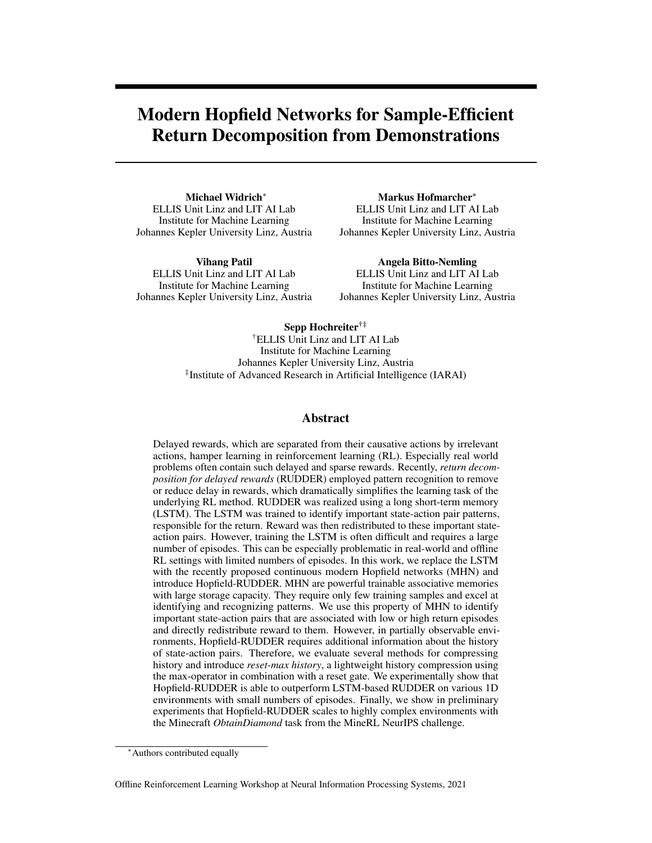<span id="page-5-0"></span>

|                       |                   |          |                       | Hopfield-RUDDER |                          |                   |        |                   |                          |                         |            |                                                                         |        |             | <b>LSTM-RUDDER</b> |       |           |                   |            |
|-----------------------|-------------------|----------|-----------------------|-----------------|--------------------------|-------------------|--------|-------------------|--------------------------|-------------------------|------------|-------------------------------------------------------------------------|--------|-------------|--------------------|-------|-----------|-------------------|------------|
| History:              |                   |          |                       | reset-max       |                          | <b>LSTMf</b>      |        |                   | <b>LSTMs</b>             |                         | max        |                                                                         | sum    |             | none               |       | reset-max |                   | none       |
|                       |                   | Mapping: |                       | linear          | none                     | linear none       |        | linear none       |                          | linear none linear none |            |                                                                         |        | linear none |                    | none  | none      | none              | none       |
|                       | Learning rate:    |          |                       |                 | $\overline{\phantom{a}}$ | $1e-3$            | $\sim$ | -3<br>1e          | $\overline{\phantom{a}}$ | -3<br>1e                | $\sim$ $-$ | $1e-3$                                                                  | $\sim$ | 3<br>1e     | $\sim$ $-$         | 1e    | $4\,1e$   | 31e               | $4 \leq 3$ |
|                       | Environment specs |          |                       |                 |                          |                   |        |                   |                          |                         |            |                                                                         |        |             |                    |       |           |                   |            |
|                       |                   |          | $n_k$ $p_l$ $n_{rnd}$ |                 |                          |                   |        |                   |                          |                         |            |                                                                         |        |             |                    |       |           |                   |            |
| POMDP 1 0%            |                   |          | $\overline{0}$        | 93.08           | 82.42                    |                   |        |                   |                          |                         |            | 72.23 70.37 76.94 66.79 91.85 89.96 78.72 41.36 58.30 58.61 65.27       |        |             |                    |       |           | 72.85 57.25 74.32 |            |
|                       |                   |          |                       | 4.87            | 8.80                     | 7.12              | 6.40   | 6.65              | 10.29                    | 5.40                    | 5.74       | 7.41                                                                    | 6.09   | 3.24        | 3.85               | 6.69  | 5.97      | 4.41              | 5.93       |
| POMDP 1 0% $n_{obs}$  |                   |          |                       | 87.66           | 81.37                    |                   |        |                   |                          |                         |            | 66.17 61.51 75.31 62.36 87.90 84.31 76.91 41.92 56.90 57.54 62.23       |        |             |                    |       | 73.37     | 53.84             | 68.23      |
|                       |                   |          |                       | 5.43            | 4.88                     | 5.17              | 5.60   | 7.56              | 6.42                     | 6.74                    | 5.23       | 6.67                                                                    | 4.15   | 3.59        | 2.35               | 8.37  | 4.04      | 5.03              | 7.34       |
| POMDP 1 50%           |                   |          | $\overline{0}$        | 75.41           | 73.57                    | 58.22 58.75 62.77 |        |                   |                          |                         |            | 59.93 62.85 65.52 52.80 49.28 54.83 55.99                               |        |             |                    | 60.21 | 55.25     | 48.85             | 52.11      |
|                       |                   |          |                       | 10.33           | 13.01                    | 7.55              | 7.72   | 9.41              | 11.43                    | 7.57                    | 7.03       | 6.61                                                                    | 2.10   | 6.01        | 5.66               | 4.60  | 8.43      | 7.76              | 7.52       |
| POMDP 1 50% $n_{obs}$ |                   |          |                       | 69.19           |                          |                   |        |                   |                          |                         |            | 66.19 54.87 54.98 56.33 54.33 61.47 60.13 53.07 48.90 54.43 54.64 51.34 |        |             |                    |       | 51.80     | 48.79             | 50.14      |
|                       |                   |          |                       | 7.95            | 5.52                     | 4.37              | 3.84   | 5.00              | 6.34                     | 6.31                    | 3.84       | 3.50                                                                    | 1.36   | 4.01        | 3.43               | 6.32  | 5.01      | 2.59              | 4.34       |
| POMDP 3 0%            |                   |          | $\Omega$              | 80.91           | 74.06                    | 66.61 64.94 76.06 |        |                   | 73.80                    |                         |            | 77.02 77.59 68.16 45.17 54.88 55.31 59.50                               |        |             |                    |       | 66.62     | 55.37             | 63.68      |
|                       |                   |          |                       | 7.74            | 8.43                     | 8.17              | 6.98   | 8.44              | 13.78                    | 8.81                    | 6.17       | 12.70                                                                   | 5.25   | 4.03        | 4.08               | 5.75  | 7.37      | 6.15              | 9.36       |
| POMDP 3 0% $n_{obs}$  |                   |          |                       | 77.96           | 74.07                    |                   |        | 63.42 61.90 73.32 | 68.99                    |                         |            | 75.30 75.06 66.61 45.56 54.56 54.41 53.34                               |        |             |                    |       | 65.84     | 51.84             | 58.34      |
|                       |                   |          |                       | 5.95            | 4.84                     | 4.95              | 4.01   | 6.65              | 8.06                     | 6.29                    | 4.19       | 10.50                                                                   | 3.73   | 3.33        | 3.42               | 6.20  | 7.19      | 7.31              | 6.18       |
| POMDP 3 50%           |                   |          | $\Omega$              | 74.30           | 69.60                    |                   |        |                   |                          |                         |            | 56.17 58.38 59.50 62.42 57.42 60.44 54.61 55.36 54.84 56.58 52.78       |        |             |                    |       | 52.80     | 47.96             | 49.51      |
|                       |                   |          |                       | 10.68           | 11.35                    | 7.57              | 8.99   | 11.27             | 13.61                    | 7.22                    | 5.95       | 4.72                                                                    | 1.59   | 7.44        | 6.88               | 2.72  | 7.65      | 9.88              | 6.34       |
| POMDP 3 50% $n_{obs}$ |                   |          |                       | 67.30           |                          |                   |        |                   |                          |                         |            | 63.82 53.07 53.06 55.86 54.81 55.79 55.46 55.05 55.55 53.92 53.39 52.64 |        |             |                    |       | 50.51     | 46.40             | 49.93      |
|                       |                   |          |                       | 8.50            | 6.76                     | 4.72              | 3.48   | 5.84              | 8.43                     | 5.70                    | 3.25       | 2.70                                                                    | 0.81   | 4.82        | 3.99               | 5.68  | 4.72      | 3.47              | 4.91       |

Table 1: Comparison of different Hopfield-RUDDER and LSTM-RUDDER versions w.r.t. reward redistribution score  $rr\_score$  on different versions of the 1D key-chest environment. Results show the mean  $rr\_score$  over all training set sizes and a 10-fold cross-validation (CV). Error bars show mean standard deviation of 10-fold CV over all training set sizes. Hopfield-RUDDER with reset-max history consistently outperforms all LSTM-RUDDER versions. For MDP versions see Tab. [A2.](#page-14-0)

procedurally generated 3D environment without any items in their possession. The objective is to gather resources and build the tools required to obtain a diamond.

For ObtainDi amond, auxiliary reward is given the first time the player obtains an item, even if multiple copies of this item are required. For example, agents have to gather multiple logs in order to build all necessary tools but receive reward only for the first log they acquire. However, we omit these auxiliary rewards and only use episodic return by giving a return of 1 for demonstrations that obtain a diamond and a return of 0 for those that do not manage to obtain it.

In order to show that Hopfield-RUDDER is able to redistribute reward to relevant state-action pairs in ObtainDiamond, we train a simple Hopfield-RUDDER model using the *reset-max history* history compression. We only use the sequence of inventory states and associated actions as input to Hopfield-RUDDER. Following [\[19\]](#page-8-4), we use 10 successful and 10 unsuccessful demonstration episodes as training set. The state-action pairs from these 20 episodes are used as stored patterns  $Y$ . We use the obfuscated version of the environment and demonstrations, therefore the observations  $s$  and actions  $a$ are the hidden representation of an unknown auto encoder (for further details see App. [A2.3\)](#page-15-0). We use a neural network with 2 hidden layers and ReLU activation as mapping functions  $m_{state} = m_{stored}$ .

Training Hopfield-RUDDER does not require massive compute resources. On the contrary, training a model for 100 episodes takes only minutes on an Nvidia A40 GPU. A small hyper-parameter search showed that the model is not overly sensitive to hyper-parameter changes and most models produce a similar reward redistribution.

Fig. [3](#page-6-0) shows the redistribution for a demonstration episode, which was not used for training the model. We use the non-obfuscated inventory states for visualization. It visually seems that Hopfield-RUDDER is able to redistribute the reward to important state-action pairs. Furthermore, Hopfield-RUDDER appears to not redistribute rewards to irrelevant state-action pairs, resulting in a reward redistribution with little noise.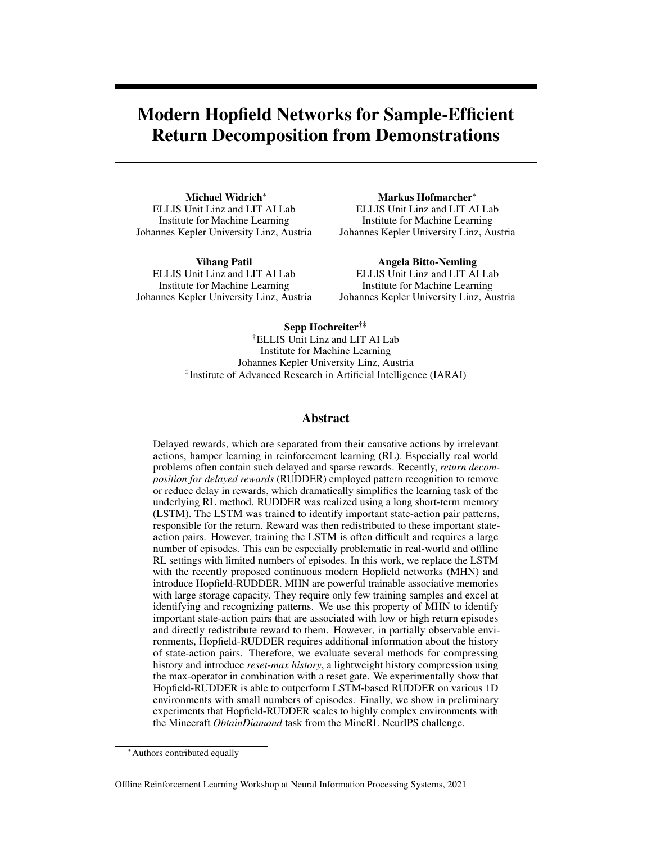<span id="page-6-0"></span>

Figure 3: **Top:** example of redistributed reward of a successful demonstration using only the inventory and actions. Red vertical lines indicate the auxiliary reward an agent would receive from the environment, however the reward redistribution is trained only with reward at episode end. The reward redistribution seems to identify relevant state-action pairs. Bottom left: Magnified region showing acquisition of *planks* through crafting. First, logs are used up, resulting in negative redistributed reward followed by an increase in planks, which increases the reward prediction. Bottom right: Time steps showing the crafting of *stone pickaxe* and *furnace*. Both items require stone and show a similar behavior as crafting planks. Predicted reward decreases when the inventory state for base component decreases and increases when the crafted item appears in the inventory.

## **Conclusion**

We have introduced Hopfield-RUDDER, a novel realization of RUDDER. Hopfield-RUDDER replaces the LSTM in the original LSTM-RUDDER with a powerful trainable auto-associative memory, the modern Hopfield network. In contrast to LSTM-RUDDER, Hopfield-RUDDER can be trained on a drastically lower number of samples, such as often the case in offline RL settings.

## Acknowledgments and Disclosure of Funding

The ELLIS Unit Linz, the LIT AI Lab, the Institute for Machine Learning, are supported by the Federal State Upper Austria. IARAI is supported by Here Technologies. We thank the projects AI-MOTION (LIT-2018-6-YOU-212), DeepToxGen (LIT-2017-3-YOU-003), AI-SNN (LIT-2018-6-YOU-214), DeepFlood (LIT-2019-8-YOU-213), Medical Cognitive Computing Center (MC3), INCONTROL-RL (FFG-881064), PRIMAL (FFG-873979), S3AI (FFG-872172), DL for GranularFlow (FFG-871302), AIRI FG 9-N (FWF-36284, FWF-36235), ELISE (H2020-ICT-2019-3 ID: 951847), AIDD (MSCA-ITN-2020 ID: 956832). We thank Janssen Pharmaceutica (MaDeSMart, HBC.2018.2287), Audi.JKU Deep Learning Center, TGW LOGISTICS GROUP GMBH, Silicon Austria Labs (SAL), FILL Gesellschaft mbH, Anyline GmbH, Google, ZF Friedrichshafen AG, Robert Bosch GmbH, UCB Biopharma SRL, Merck Healthcare KGaA, Verbund AG, Software Competence Center Hagenberg GmbH, TÜV Austria, and the NVIDIA Corporation.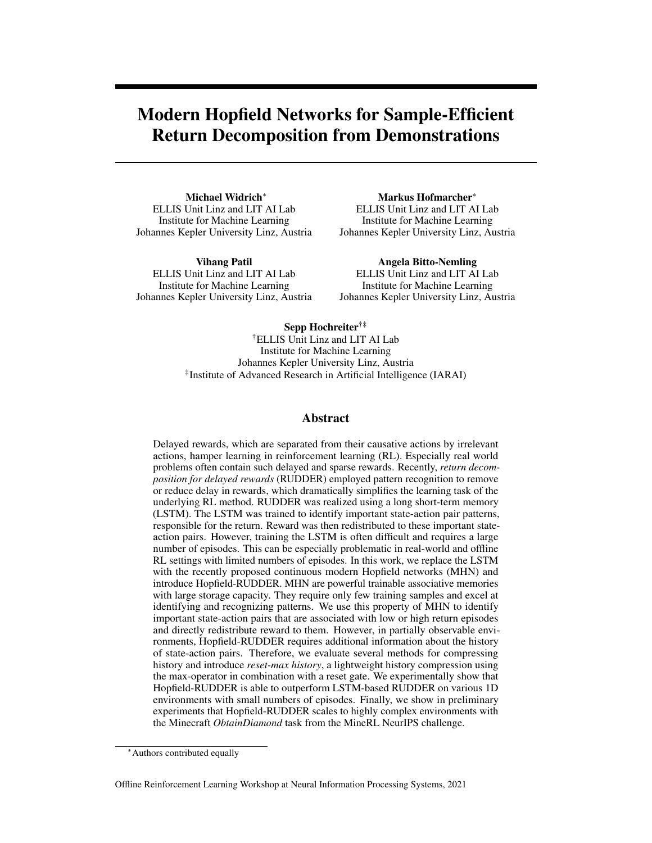### References

- <span id="page-7-13"></span>[1] L. F. Abbott and Y. Arian. Storage capacity of generalized networks. *Phys. Rev. A*, 36:5091– 5094, 1987.
- <span id="page-7-2"></span>[2] J. A. Arjona-Medina\*, M. Gillhofer\*, M. Widrich\*, T. Unterthiner, J. Brandstetter, and S. Hochreiter. RUDDER: Return decomposition for delayed rewards. In *Advances in Neural Information Processing Systems*, pages 13544–13555, 2019.
- <span id="page-7-11"></span>[3] P. Baldi and S. S. Venkatesh. Number of stable points for spin-glasses and neural networks of higher orders. *Phys. Rev. Lett.*, 58:913–916, 1987.
- <span id="page-7-15"></span>[4] B. Caputo and H. Niemann. Storage capacity of kernel associative memories. In *Proceedings of the International Conference on Artificial Neural Networks (ICANN)*, page 51–56, Berlin, Heidelberg, 2002. Springer-Verlag.
- <span id="page-7-10"></span>[5] H. H. Chen, Y. C. Lee, G. Z. Sun, H. Y. Lee, T. Maxwell, and C. Lee Giles. High order correlation model for associative memory. *AIP Conference Proceedings*, 151(1):86–99, 1986.
- <span id="page-7-5"></span>[6] L. Chen, K. Lu, A. Rajeswaran, K. Lee, A. Grover, M. Laskin, P. Abbeel, A. Srinivas, and I. Mordatch. Decision transformer: Reinforcement learning via sequence modeling. *arXiv preprint arXiv:2106.01345*, 2021.
- <span id="page-7-1"></span>[7] F. Dulac-Arnold, D. J. Mankowitz, and T. Hester. Challenges of real-world reinforcement learning. *CoRR*, abs/1904.12901, 2019.
- <span id="page-7-12"></span>[8] E. Gardner. Multiconnected neural network models. *Journal of Physics A*, 20(11):3453–3464, 1987.
- <span id="page-7-17"></span>[9] W. H. Guss, C. Codel, K. Hofmann, B. Houghton, N. Kuno, S. Milani, S. P. Mohanty, D. P. Liebana, R. Salakhutdinov, N. Topin, M. Veloso, and P. Wang. The MineRL competition on sample efficient reinforcement learning using human priors. *arXiv*, 2019.
- <span id="page-7-4"></span>[10] S. Hochreiter and J. Schmidhuber. Long short-term memory. *Neural computation*, 9(8):1735– 1780, 1997.
- <span id="page-7-8"></span>[11] J. J. Hopfield. Neural networks and physical systems with emergent collective computational abilities. *Proceedings of the National Academy of Sciences*, 79(8):2554–2558, 1982.
- <span id="page-7-9"></span>[12] J. J. Hopfield. Neurons with graded response have collective computational properties like those of two-state neurons. *Proceedings of the National Academy of Sciences*, 81(10):3088–3092, 1984.
- <span id="page-7-14"></span>[13] D. Horn and M. Usher. Capacities of multiconnected memory models. *J. Phys. France*, 49(3):389–395, 1988.
- <span id="page-7-6"></span>[14] K. Irie, I. Schlag, R. Csordás, and J. Schmidhuber. Going beyond linear transformers with recurrent fast weight programmers. *arXiv preprint arXiv:2106.06295*, 2021.
- <span id="page-7-7"></span>[15] A. Katharopoulos, A. Vyas, N. Pappas, and F. Fleuret. Transformers are RNNs: Fast Autoregressive Transformers with Linear Attention. In *Proceedings of the 37th International Conference on Machine Learning*, pages 5156–5165. PMLR, 2020.
- <span id="page-7-16"></span>[16] D. Krotov and J. J. Hopfield. Dense associative memory for pattern recognition. In D. D. Lee, M. Sugiyama, U. V. Luxburg, I. Guyon, and R. Garnett, editors, *Advances in Neural Information Processing Systems*, pages 1172–1180. Curran Associates, Inc., 2016.
- <span id="page-7-3"></span>[17] J. Luoma, S. Ruutu, A. W. King, and H. Tikkanen. Time delays, competitive interdependence, and firm performance. *Strategic Management Journal*, 38(3):506–525, 2017.
- <span id="page-7-0"></span>[18] V. Mnih, K. Kavukcuoglu, D. Silver, A. A. Rusu, J. Veness, M. G. Bellemare, A. Graves, M. Riedmiller, A. K. Fidjeland, G. Ostrovski, S. Petersen, C. Beattie, A. Sadik, I. Antonoglou, H. King, D. Kumaran, D. Wierstra, S. Legg, , and D. Hassabis. Human-level control through deep reinforcement learning. *Nature*, 518(7540):529–533, 2015.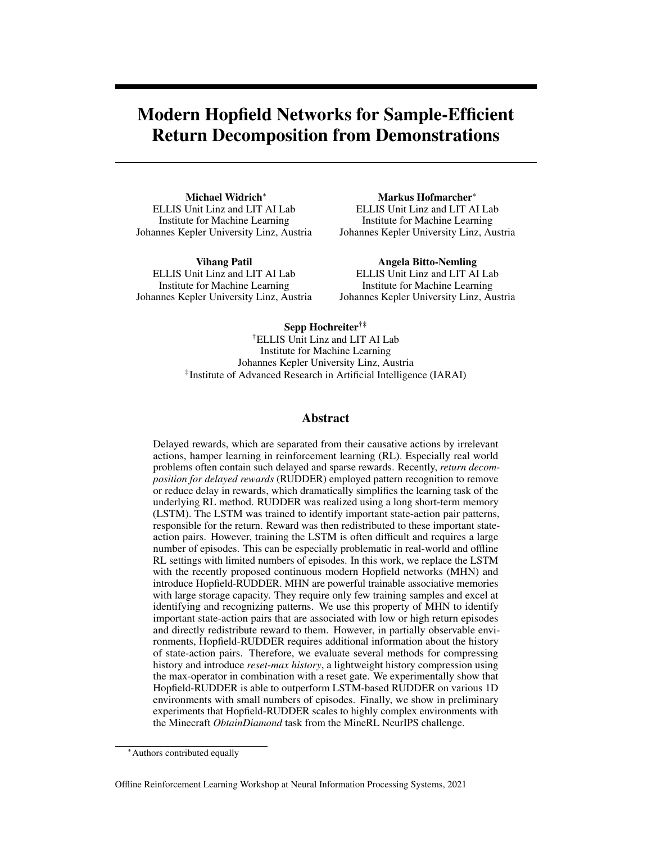- <span id="page-8-4"></span>[19] V. P. Patil, M. Hofmarcher, M.-C. Dinu, M. Dorfer, P. M. Blies, J. Brandstetter, J. A. Arjona-Medina, and S. Hochreiter. Align-rudder: Learning from few demonstrations by reward redistribution. *CoRR*, abs/2009.14108, 2020.
- <span id="page-8-9"></span>[20] D. Psaltis and H. P. Cheol. Nonlinear discriminant functions and associative memories. *AIP Conference Proceedings*, 151(1):370–375, 1986.
- <span id="page-8-3"></span>[21] H. Rahmandad, N. Repenning, and J. Sterman. Effects of feedback delay on learning. *System Dynamics Review*, 25(4):309–338, 2009.
- <span id="page-8-10"></span>[22] H. Ramsauer, B. Schäfl, J. Lehner, P. Seidl, M. Widrich, L. Gruber, M. Holzleitner, M. Pavlovic,´ G. K. Sandve, V. Greiff, D. Kreil, M. Kopp, G. Klambauer, J. Brandstetter, and S. Hochreiter. Hopfield networks is all you need. *ArXiv*, 2008.02217, 2020.
- <span id="page-8-5"></span>[23] H. Ramsauer, B. Schäfl, J. Lehner, P. Seidl, M. Widrich, L. Gruber, M. Holzleitner, M. Pavlovic,´ G. K. Sandve, V. Greiff, D. Kreil, M. Kopp, G. Klambauer, J. Brandstetter, and S. Hochreiter. Hopfield networks is all you need. In *9th International Conference on Learning Representations (ICLR)*, 2021.
- <span id="page-8-7"></span>[24] J. Schmidhuber. Learning To Control Fast-Weight Memories: An Alternative To Dynamic Recurrent Networks, 1991.
- <span id="page-8-8"></span>[25] J. Schmidhuber. Learning to Control Fast-Weight Memories: An Alternative to Dynamic Recurrent Networks. *Neural Computation*, 4(1):131–139, 1992.
- <span id="page-8-12"></span>[26] P. Seidl, P. Renz, N. Dyubankova, P. Neves, J. Verhoeven, J. K. Wegner, S. Hochreiter, and G. Klambauer. Modern hopfield networks for few- and zero-shot reaction prediction. *ArXiv*, 2104.03279, 2021.
- <span id="page-8-1"></span>[27] D. Silver, A. Huang, C. J. Maddison, A. Guez, L. Sifre, G. van den Driessche, J. Schrittwieser, I. Antonoglou, V. Panneershelvam, M. Lanctot, S. Dieleman, D. Grewe, J. Nham, N. Kalchbrenner, I. Sutskever, T. P. Lillicrap, M. Leach, K. Kavukcuoglu, T. Graepel, and D. Hassabis. Mastering the game of Go with deep neural networks and tree search. *Nature*, 529(7587):484–489, 2016.
- <span id="page-8-2"></span>[28] R. S. Sutton. *Temporal Credit Assignment in Reinforcement Learning*. PhD thesis, University of Massachusetts, Dept. of Comp. and Inf. Sci., 1984.
- <span id="page-8-6"></span>[29] A. Vaswani, N. Shazeer, N. Parmar, J. Uszkoreit, L. Jones, A. N. Gomez, L. Kaiser, and I. Polosukhin. Attention is all you need. In I. Guyon, U. V. Luxburg, S. Bengio, H. Wallach, R. Fergus, S. Vishwanathan, and R. Garnett, editors, *Advances in Neural Information Processing Systems 30*, pages 5998–6008. Curran Associates, Inc., 2017.
- <span id="page-8-0"></span>[30] O. Vinyals, T. Ewalds, S. Bartunov, P. Georgiev, A. S. Vezhnevets, M. Yeo, A. Makhzani, H. Küttler, J. Agapiou, J. Schrittwieser, J. Quan, S. Gaffney, S. Petersen, K. Simonyan, T. Schaul, H. van Hasselt, D. Silver, T. P. Lillicrap, K. Calderone, P. Keet, A. Brunasso, D. Lawrence, A. Ekermo, J. Repp, and R. Tsing. Starcraft II: A new challenge for reinforcement learning. *ArXiv*, 2017.
- <span id="page-8-11"></span>[31] M. Widrich, B. Schäfl, M. Pavlovic, H. Ramsauer, L. Gruber, M. Holzleitner, J. Brandstetter, ´ G. K. Sandve, V. Greiff, S. Hochreiter, and G. Klambauer. Modern Hopfield networks and attention for immune repertoire classification. In H. Larochelle, M. Ranzato, R. Hadsell, M. F. Balcan, and H. Lin, editors, *Advances in Neural Information Processing Systems*, volume 33, pages 18832–18845. Curran Associates, Inc., 2020.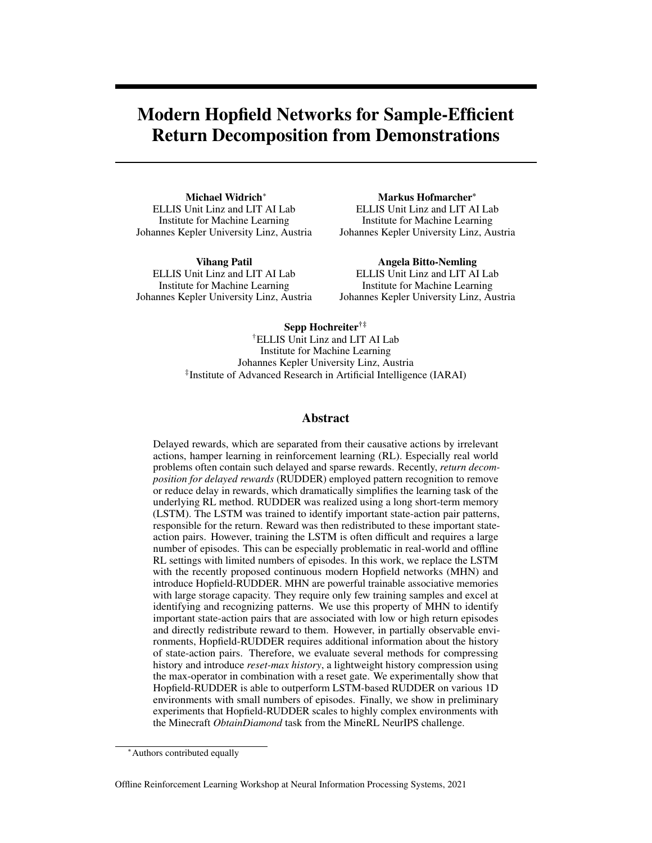## Appendix

| A1.4 Detailed results and ablation study for history versions 11            |     |
|-----------------------------------------------------------------------------|-----|
| A1.5 Detailed results for comparison of Hopfield-RUDDER and LSTM-RUDDER. 14 |     |
|                                                                             |     |
|                                                                             | -16 |
|                                                                             | -16 |
|                                                                             | -16 |
|                                                                             | 16  |
|                                                                             |     |

## <span id="page-9-0"></span>A1 1D key-chest environment

In this section we provide details on the specifications, the setup, and the results on the 1D key-chest environment described in the paper. The 16 environment versions and their settings are listed in Tab. [A1.](#page-9-3)

<span id="page-9-3"></span>

| Parameters   |              |              |              |              | Environment versions |              |              |              |
|--------------|--------------|--------------|--------------|--------------|----------------------|--------------|--------------|--------------|
| observations | <b>POMDP</b> | <b>POMDP</b> | <b>POMDP</b> | <b>POMDP</b> | <b>POMDP</b>         | <b>POMDP</b> | <b>POMDP</b> | <b>POMDP</b> |
| $n_k$        |              |              |              |              |                      |              |              |              |
| $p_l$        | $0\%$        | $0\%$        | 50%          | 50%          | $0\%$                | $0\%$        | 50%          | 50%          |
| $n_{rnd}$    | $\Omega$     | $n_{obs}$    |              | $n_{obs}$    | $\mathbf{\Omega}$    | $n_{obs}$    |              | $n_{obs}$    |
| time steps   | 32           | 32           | 99           | 99           | 48                   | 48           | 148          | 148          |
| Parameters   |              |              |              |              | Environment versions |              |              |              |
| observations | <b>MDP</b>   | <b>MDP</b>   | <b>MDP</b>   | <b>MDP</b>   | <b>MDP</b>           | <b>MDP</b>   | <b>MDP</b>   | <b>MDP</b>   |
| $n_k$        |              |              |              |              |                      |              |              |              |
| $p_l$        | $0\%$        | $0\%$        | 50%          | 50%          | $0\%$                | $0\%$        | 50%          | 50%          |
| $n_{rnd}$    | 0            | $n_{obs}$    |              | $n_{obs}$    |                      | $n_{obs}$    |              | $n_{obs}$    |
| time steps   | 32           | 32           | 99           | 99           | 48                   | 48           | 148          | 148          |

Table A1: Specifications of the 16 versions of the 1D key-chest environment, as illustrated in Fig. [2.](#page-4-0) Number of time steps per episode are fixed and chosen such that a random agent generates  $35\%(-2\%)$ episodes with a return of 1. Reward  $f0$ , 1g is given only at the end of an episode. Training and test sets were sampled until 50% of episodes with 0 and 1 return were obtained.  $n_{rnd}$  is the number of random features with values  $f0$ ,  $1g$  that are concatenated to the observation space, where  $n_{obs}$  is the number of features of the original observation space.

#### <span id="page-9-2"></span>A1.1 MDP and POMDP observation space

For the fully observable MDP versions of the environment, the observation space includes information about the position, time step, number of currently held *keys*, if the agent is on position *k* or *c*, if the agent visited *c* while holding  $n_k$  *keys*, and, in case  $p_l > 0$ , if the current *keys* are being lost on *s*.

In the POMDP versions, the observation space only contains information if the agent is on position *k* or *c* and, in case  $p_l > 0$ , if the current *keys* are being lost on *s*.

Furthermore, we add  $n_{rnd} = f0$ ,  $n_{obs}g$  features that contain random values  $f0$ , 1g to the observation space, where  $n_{obs}$  is the number of features of the original observation space. All features are binary, except for the position and time step feature,

#### <span id="page-9-1"></span>A1.2 History compression methods

We evaluated 5 methods for history compression. Following the notation in the paper, they are:

(i) feature-wise max-pooling:  $\bm{v}_t \ =\ \left[\bm{v}^h{}_t; \bm{v}^o{}_t\right] \ ; \quad \bm{v}^h{}_t \ =\ \max_{i=1,...,(t-1)} \left(\bm{v}^o{}_i\right),$ (ii) feature-wise sum-pooling:  $\bm{v}_t\ =\ \left[\bm{v}^h{}_t;\bm{v}^o{}_t\right]\ ;\quad \bm{v}^h{}_t\ =\ \sum_{i=1,...,(t-1)}\,(\bm{v}^o{}_i),$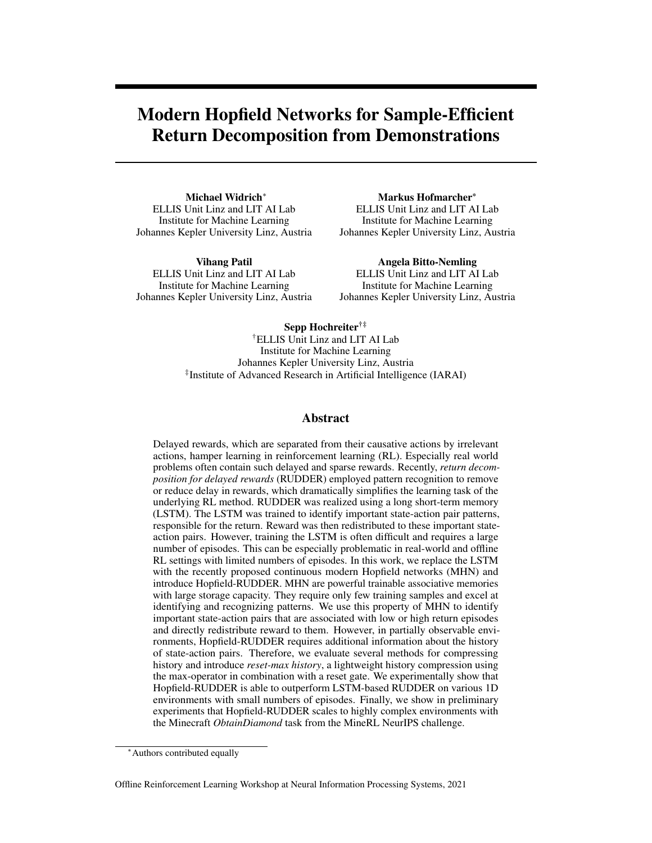(iii) fully-connected LSTM (LSTMf):  $v_t = \left[v^h{}_t; v^o{}_t\right]$  ;  $v^h{}_t = \text{LSTMf}_{i=1,\dots,(t-1)}\left(v^o{}_i\right)$ , with a layer of J fully-connected LSTM blocks, (iv) sparsely-connected LSTM (LSTMs):  $v_t\ =\ \left[ v^h{}_t;v^o{}_t\right]\ ;\quad v^h{}_t\ =\ \textrm{LSTMs}_{i=1,...,(t-1)}\,(v^o{}_i),$ with a layer of J sparsely-connected LSTM blocks, where output gate, input gate, and the recurrent connections of the cell input are disabled, and (v) reset-max history, as described in the main paper,

<span id="page-10-0"></span>where  $J$  is the number of observation features.

#### A1.3 Training details

Training of all Hopfield-RUDDER, history methods, and LSTM-RUDDER versions was performed in PyTorch [\[34\]](#page-17-0) using the Adam optimizer [\[33\]](#page-17-1) for 10, 000 updates. Weights of the linear mappings are shared such that  $m_{state} = m_{stored}$ . For training of Hopfield-RUDDER, a mini-batch of 4 random samples from the training set is used as state patterns and the rest of the training set is used as stored patterns for each weight update. For LSTM-RUDDER, mini-batches of 4 random samples from the training set are used for each weight update.

For Hopfield-RUDDER, first the history features are computed from the observations. Then, if a linear mapping for Hopfield-RUDDER is used, the state and stored patterns are mapped to 16 features via a single linear layer before the association with the known episode returns is performed. The bias weights for the LSTM-based history versions and the reset-max history were initialized with random values from a normal distribution with a mean of 5.

For LSTM-RUDDER, we chose a number of 16 LSTM blocks in the network, followed by a single output layer to create the reward prediction at every time step of the episode. The LSTM loss combines the losses  $L_m + 0.1$  ( $L_c + L_e$ ), as described by [\[2\]](#page-7-2), formula A275. Loss  $L_a$  was omitted, as there are no intermediate rewards given in the episodes.

### <span id="page-10-1"></span>A1.4 Detailed results and ablation study for history versions

In the following Fig. [A1](#page-11-0) and [A2](#page-12-0), we show the detailed results for the different history versions.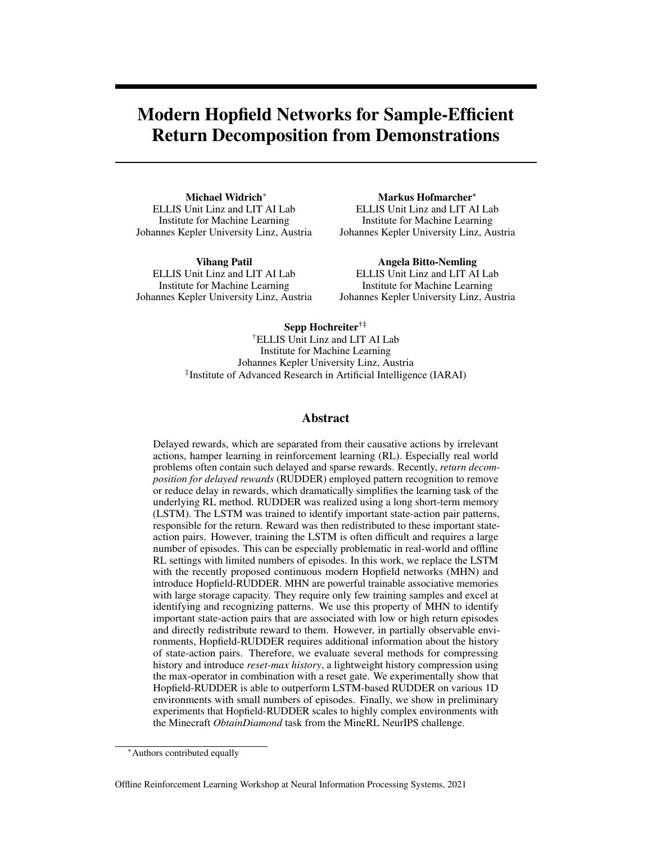<span id="page-11-0"></span>

Figure A1: Comparison of Hopfield-RUDDER max-pooling, sum-pooling, and reset-max history w.r.t. reward redistribution score  $rr\_score$  on different versions of the 1D key-chest environment. Results shown are the mean  $rr\_score$  over 10-fold cross-validation with their corresponding standard deviations for various training set sizes.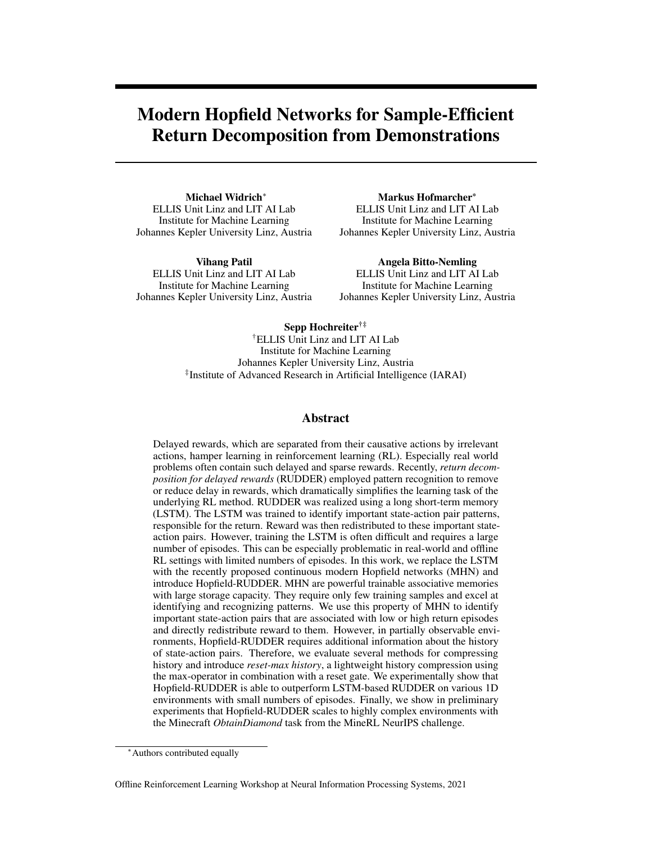<span id="page-12-0"></span>

Figure A2: Comparison of Hopfield-RUDDER LSTM-based history and reset-max history w.r.t. reward redistribution score  $rr\_score$  on different versions of the 1D key-chest environment. Results shown are the mean  $rr\_score$  over 10-fold cross-validation with their corresponding standard deviations for various training set sizes.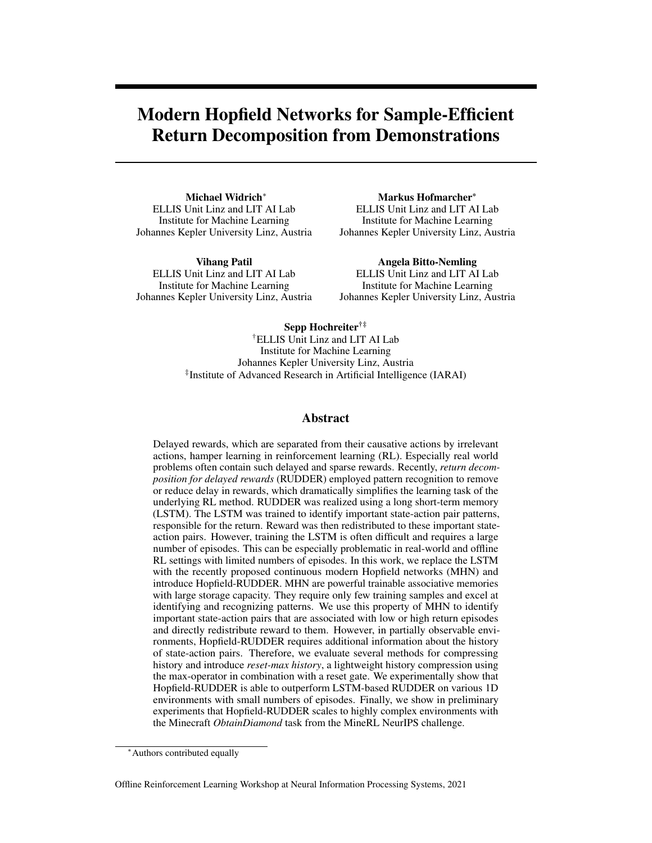### <span id="page-13-0"></span>A1.5 Detailed results for comparison of Hopfield-RUDDER and LSTM-RUDDER.

In the following Fig. [A3,](#page-13-2) we show the detailed results for comparison of Hopfield-RUDDER with reset-max history versus the different versions of LSTM-RUDDER.

<span id="page-13-2"></span>

Figure A3: Comparison of Hopfield-RUDDER with reset-max history and LSTM-RUDDER versions w.r.t. reward redistribution score  $rr\_score$  on different versions of the 1D key-chest environment. Results shown are the mean rr\_score over 10-fold cross-validation with their corresponding standard deviations for various training set sizes.

#### <span id="page-13-1"></span>A1.6 Detailed results for comparison of all methods.

In the following Tab. [A2,](#page-14-0) we show the detailed results for comparison of all Hopfield-RUDDER and LSTM-RUDDER versions.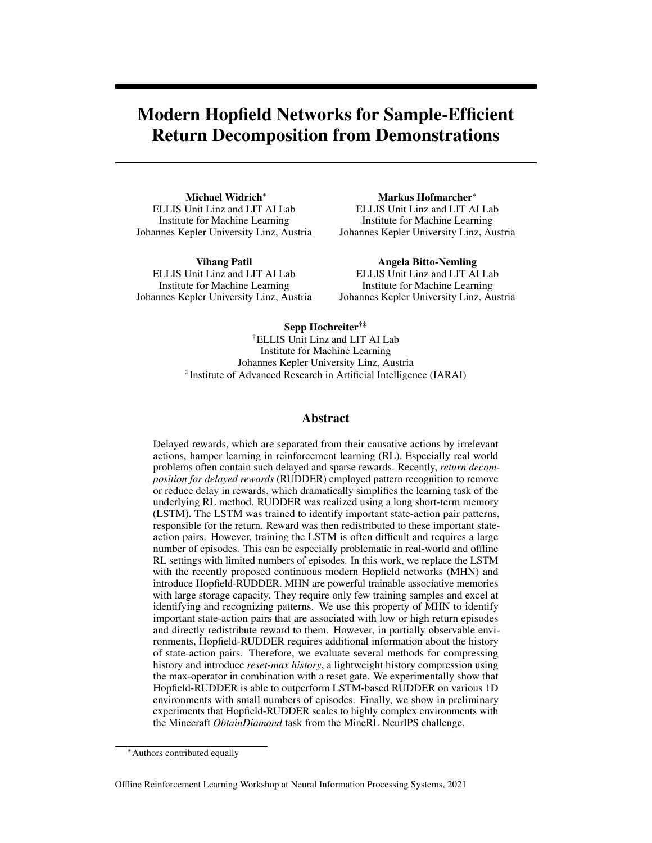<span id="page-14-0"></span>

|                       |                  |                 |              | Hopfield-RUDDER |       |         |              |         |       |         |       |                     |             |                   | <b>LSTM-RUDDER</b> |       |           |       |                |
|-----------------------|------------------|-----------------|--------------|-----------------|-------|---------|--------------|---------|-------|---------|-------|---------------------|-------------|-------------------|--------------------|-------|-----------|-------|----------------|
|                       |                  | History:        |              | reset-max       |       |         | <b>LSTMf</b> | LSTMr   |       |         | max   | sum                 |             | none              |                    |       | reset-max |       | none           |
| Mapping:              |                  |                 |              | linear          | none  | linear  | none         | linear  | none  | linear  | none  | linear              |             | none linear       | none               | none  | none      | none  | none           |
|                       |                  | Learning rate:  |              | 3<br>1e         |       | 3<br>1e |              | 3<br>1e | ä,    | 3<br>1e | ä,    | 1 <sub>e</sub><br>3 | ÷,          | 3<br>1e           | ÷,                 | 1e    | $4\,1e$   | 31e   | - 3<br>$4\,1e$ |
| Environment specs     |                  |                 |              |                 |       |         |              |         |       |         |       |                     |             |                   |                    |       |           |       |                |
|                       | $\mathfrak{n}_k$ | $p_l$           | $n_{rnd}$    |                 |       |         |              |         |       |         |       |                     |             |                   |                    |       |           |       |                |
| POMDP                 | -1               | $0\%$           | $\mathbf{0}$ | 93.08           | 82.42 | 72.23   | 70.37        | 76.94   | 66.79 | 91.85   | 89.96 |                     |             | 78.72 41.36 58.30 | 58.61              | 65.27 | 72.85     | 57.25 | 74.32          |
|                       |                  |                 |              | 4.87            | 8.80  | 7.12    | 6.40         | 6.65    | 10.29 | 5.40    | 5.74  | 7.41                | 6.09        | 3.24              | 3.85               | 6.69  | 5.97      | 4.41  | 5.93           |
| <b>POMDP</b> 1 0%     |                  |                 | $n_{obs}$    | 87.66           | 81.37 | 66.17   | 61.51        | 75.31   | 62.36 | 87.90   | 84.31 | 76.91               | 41.92       | 56.90             | 57.54              | 62.23 | 73.37     | 53.84 | 68.23          |
|                       |                  |                 |              | 5.43            | 4.88  | 5.17    | 5.60         | 7.56    | 6.42  | 6.74    | 5.23  | 6.67                | 4.15        | 3.59              | 2.35               | 8.37  | 4.04      | 5.03  | 7.34           |
| POMDP 1 50%           |                  |                 | $\mathbf{0}$ | 75.41           | 73.57 | 58.22   | 58.75        | 62.77   | 59.93 | 62.85   | 65.52 | 52.80               | 49.28       | 54.83             | 55.99              | 60.21 | 55.25     | 48.85 | 52.11          |
|                       |                  |                 |              | 10.33           | 13.01 | 7.55    | 7.72         | 9.41    | 11.43 | 7.57    | 7.03  | 6.61                | 2.10        | 6.01              | 5.66               | 4.60  | 8.43      | 7.76  | 7.52           |
| POMDP 1 50% $n_{obs}$ |                  |                 |              | 69.19           | 66.19 | 54.87   | 54.98        | 56.33   | 54.33 | 61.47   | 60.13 | 53.07               | 48.90       | 54.43             | 54.64              | 51.34 | 51.80     | 48.79 | 50.14          |
|                       |                  |                 |              | 7.95            | 5.52  | 4.37    | 3.84         | 5.00    | 6.34  | 6.31    | 3.84  | 3.50                | 1.36        | 4.01              | 3.43               | 6.32  | 5.01      | 2.59  | 4.34           |
| POMDP <sub>3</sub>    |                  | $0\%$           | $\mathbf{0}$ | 80.91           | 74.06 | 66.61   | 64.94        | 76.06   | 73.80 | 77.02   | 77.59 | 68.16               | 45.17       | 54.88             | 55.31              | 59.50 | 66.62     | 55.37 | 63.68          |
|                       |                  |                 |              | 7.74            | 8.43  | 8.17    | 6.98         | 8.44    | 13.78 | 8.81    | 6.17  | 12.70               | 5.25        | 4.03              | 4.08               | 5.75  | 7.37      | 6.15  | 9.36           |
| POMDP <sub>3</sub>    |                  | 0%              | $n_{obs}$    | 77.96           | 74.07 | 63.42   | 61.90        | 73.32   | 68.99 | 75.30   | 75.06 |                     | 66.61 45.56 | 54.56             | 54.41              | 53.34 | 65.84     | 51.84 | 58.34          |
|                       |                  |                 |              | 5.95            | 4.84  | 4.95    | 4.01         | 6.65    | 8.06  | 6.29    | 4.19  | 10.50               | 3.73        | 3.33              | 3.42               | 6.20  | 7.19      | 7.31  | 6.18           |
| POMDP 3 50%           |                  |                 | $\mathbf{0}$ | 74.30           | 69.60 | 56.17   | 58.38        | 59.50   | 62.42 | 57.42   | 60.44 |                     | 54.61 55.36 | 54.84             | 56.58              | 52.78 | 52.80     | 47.96 | 49.51          |
|                       |                  |                 |              | 10.68           | 11.35 | 7.57    | 8.99         | 11.27   | 13.61 | 7.22    | 5.95  | 4.72                | 1.59        | 7.44              | 6.88               | 2.72  | 7.65      | 9.88  | 6.34           |
| POMDP 3 50% $n_{obs}$ |                  |                 |              | 67.30           | 63.82 | 53.07   | 53.06        | 55.86   | 54.81 | 55.79   | 55.46 | 55.05               |             | 55.55 53.92       | 53.39              | 52.64 | 50.51     | 46.40 | 49.93          |
|                       |                  |                 |              | 8.50            | 6.76  | 4.72    | 3.48         | 5.84    | 8.43  | 5.70    | 3.25  | 2.70                | 0.81        | 4.82              | 3.99               | 5.68  | 4.72      | 3.47  | 4.91           |
| <b>MDP</b>            |                  | $1 \t0\%$       | $\mathbf{0}$ | 89.44           | 88.60 | 77.73   | 76.41        | 78.89   | 84.91 | 87.66   | 81.16 | 78.82               | 44.24       | 93.26             | 76.86              | 85.93 | 78.05     | 85.60 | 76.40          |
|                       |                  |                 |              | 5.82            | 8.26  | 5.82    | 5.84         | 5.69    | 5.02  | 6.54    | 6.77  | 5.80                | 3.20        | 5.99              | 5.27               | 7.22  | 5.73      | 7.15  | 5.05           |
| <b>MDP</b>            |                  | $1 \quad 0\%$   | $n_{obs}$    | 87.65           | 81.37 | 65.93   | 61.25        | 75.26   | 62.36 | 87.90   | 84.31 | 76.54               | 41.93       | 56.90             | 57.54              | 62.22 | 73.69     | 53.83 | 68.75          |
|                       |                  |                 |              | 5.44            | 4.88  | 5.19    | 5.58         | 7.53    | 6.42  | 6.75    | 5.23  | 6.76                | 4.17        | 3.59              | 2.35               | 8.41  | 4.97      | 5.06  | 6.12           |
| <b>MDP</b>            |                  | 1 50%           | $\mathbf{0}$ | 72.13           | 65.35 | 69.51   | 63.93        | 68.64   | 68.91 | 69.66   | 63.76 | 52.85               | 50.54       | 65.87             | 65.00              | 52.66 | 49.83     | 52.83 | 68.71          |
|                       |                  |                 |              | 10.84           | 14.40 | 6.26    | 17.19        | 8.56    | 9.91  | 10.97   | 14.87 | 4.73                | 1.18        | 11.81             | 18.80              | 3.79  | 5.91      | 8.05  | 8.16           |
| <b>MDP</b>            |                  | 1 50% $n_{obs}$ |              | 69.19           | 66.19 | 54.78   | 55.45        | 56.54   | 54.89 | 61.46   | 60.13 | 53.07               | 48.90       | 54.43             | 54.64              | 51.45 | 52.61     | 48.87 | 49.45          |
|                       |                  |                 |              | 7.95            | 5.52  | 3.97    | 3.90         | 5.52    | 7.57  | 6.31    | 3.84  | 3.29                | 1.36        | 4.01              | 3.43               | 6.20  | 5.19      | 2.56  | 3.77           |
| <b>MDP</b>            |                  | 3 $0\%$         | $\mathbf{0}$ | 82.51           | 72.04 | 69.03   | 61.31        | 73.15   | 73.89 | 73.49   | 63.39 | 65.48               |             | 45.88 81.88       | 59.86              | 75.24 | 73.76     | 52.23 | 70.02          |
|                       |                  |                 |              | 6.04            | 10.38 | 6.97    | 8.24         | 5.15    | 7.68  | 8.40    | 8.22  | 6.62                | 1.64        | 4.91              | 7.76               | 5.78  | 5.90      | 7.14  | 5.91           |
| <b>MDP</b>            |                  | 3 $0\%$         | $n_{obs}$    | 77.96           | 74.07 | 63.92   | 61.79        | 73.26   | 68.99 | 75.30   | 75.06 |                     |             | 66.21 45.56 54.56 | 54.41              | 53.45 | 65.86     | 51.99 | 59.04          |
|                       |                  |                 |              | 5.93            | 4.84  | 5.19    | 4.57         | 6.72    | 8.06  | 6.28    | 4.19  | 9.85                | 3.73        | 3.33              | 3.42               | 6.07  | 7.50      | 7.30  | 6.80           |
| <b>MDP</b>            |                  | 3 50%           | $\mathbf{0}$ | 65.37           | 63.16 | 59.55   | 57.84        | 61.01   | 61.38 | 63.17   | 54.37 | 55.72               |             | 55.26 61.50       | 59.32              | 52.04 | 50.35     | 35.11 | 53.06          |
|                       |                  |                 |              | 10.26           | 10.79 | 6.84    | 13.09        | 8.53    | 9.41  | 11.37   | 13.30 | 3.37                | 0.99        | 12.09             | 14.96              | 3.86  | 4.55      | 5.12  | 9.62           |
| <b>MDP</b>            |                  | 3 50% $n_{obs}$ |              | 67.30           | 63.82 | 52.96   | 53.01        | 55.80   | 54.17 | 55.79   | 55.46 | 54.99               | 55.55       | 53.92             | 53.39              | 53.09 | 50.99     | 46.49 | 49.79          |
|                       |                  |                 |              | 8.50            | 6.76  | 5.08    | 3.70         | 5.71    | 9.02  | 5.70    | 3.25  | 2.93                | 0.81        | 4.82              | 3.99               | 5.75  | 4.50      | 3.37  | 4.74           |

Table A2: Comparison of different Hopfield-RUDDER and LSTM-RUDDER versions w.r.t. reward redistribution score rr\_score on different versions of the 1D key-chest environment. Results shown are the mean rr\_score over all training set sizes and a 10-fold cross-validation. Error bars show mean standard deviation of 10-fold cross-validation over all training set sizes. Hopfield-RUDDER with reset-max history consistently outperforms all other Hopfield-RUDDER and LSTM-RUDDER versions.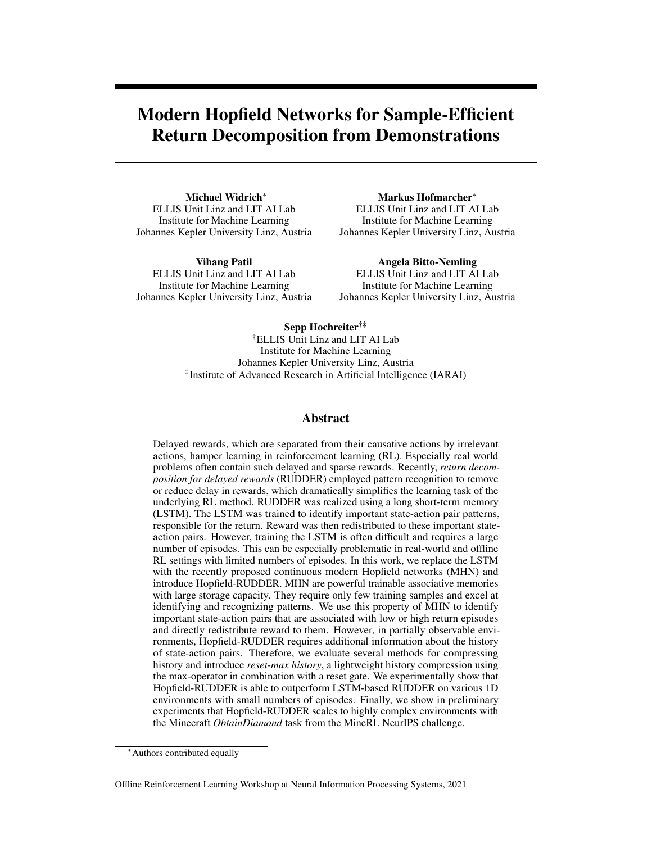## <span id="page-15-1"></span>A2 Minecraft Environment

In this section we provide details on the MineRL Minecraft environment, demonstrations, training setup and additional results.

## <span id="page-15-2"></span>A2.1 Training details

Training of Hopfield-RUDDER was performed in PyTorch [\[34\]](#page-17-0) using the Adam optimizer [\[33\]](#page-17-1). In contrast to the 1D-environment we trained the model only for 100 updates. Weights of the linear mappings are shared such that  $m_{state} = m_{stored}$ . For training of Hopfield-RUDDER, a mini-batch of 8 random samples from the training set is used as state patterns and the rest of the training set is used as stored patterns for each weight update.

In addition to the history compression we augment the observations with observation deltas, where we compute the delta of observation  $s_t$  and  $s_{t-1}$  and concatenate the result with the original observation. Furthermore, to reduce training time and GPU memory requirements we store only unique observations in stored patterns  $Y$ .

Then, the history features are computed from the augmented observations, including actions, and the state and stored patterns are mapped to 128 features via a small neural network with 2 fully connected hidden layers with ReLU activation.

#### <span id="page-15-3"></span>A2.2 Additional reward redistribution plots

In [A4,](#page-16-1) we show additional examples for reward redistribution using Hopfield-RUDDER on the MineRL *ObtainDiamond* demonstrations. These demonstrations have not been used for training the reward redistribution model. The red vertical lines show the auxiliary sparse rewards, provided by the environment. Note that for training Hopfield-RUDDER, we only use episodic reward of 1 for successful demonstrations and 0 for unsuccessful demonstrations, without using the auxiliary rewards. As indicated by the auxiliary rewards, the reward redistribution (in blue) is able to identify sections in the episodes which are important for obtaining the diamond.

#### <span id="page-15-0"></span>A2.3 Observation and action representation

In order to avoid hand-crafted solutions the authors of the MineRL benchmark introduced an obfuscated version of the environment and the demonstrations. In this version the inventory state and actions are encoded using an Auto Encoder. Both observations and actions are 64 dimensional vectors. The decoder of this model is not released and therefore models must learn only based on the encoded states and predict the encoded actions. We also use only the obfuscated inventory state and actions for training the Hopfield-RUDDER model. However, we use the non-obfuscated inventory states for visualizing and inspecting the reward redistribution.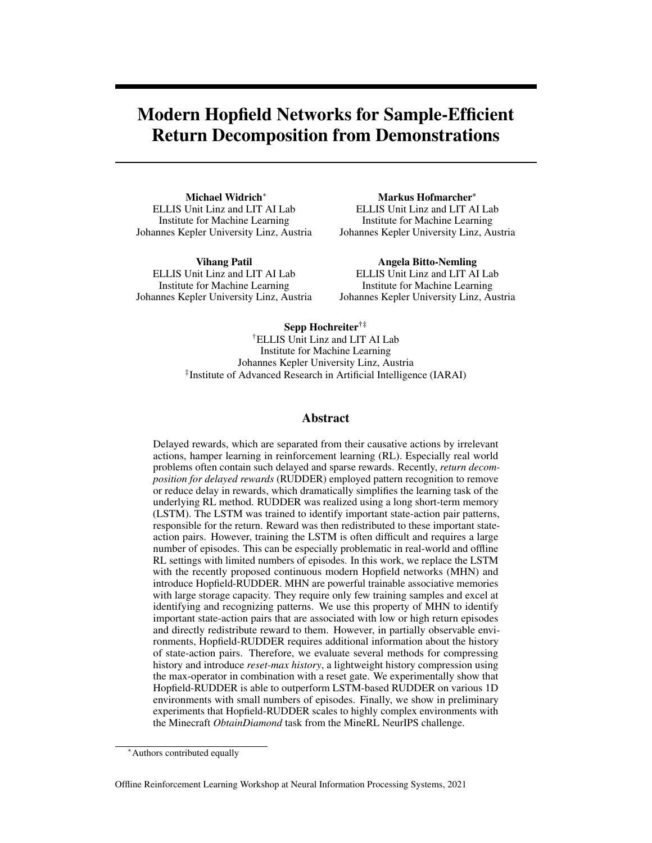<span id="page-16-1"></span>

Figure A4: Reward redistribution of three demonstrations for the MineRL *ObtainDiamond* task. **Blue:** redistributed reward **Red:** sparse reward obtainable in the environment. For training we only use episodic reward of 1 for successful episodes and 0 for unsuccessful episodes.

## <span id="page-16-0"></span>A3 Glossary

|  |  |  |  |  |  | J Number of features of history representation $v^h$ .                                            |
|--|--|--|--|--|--|---------------------------------------------------------------------------------------------------|
|  |  |  |  |  |  | $K$ Number of features of state-action pair representation $v^o$ .                                |
|  |  |  |  |  |  | $G \ldots \ldots \ldots \ldots$ . Return values of episodes.                                      |
|  |  |  |  |  |  | $U \quad . \quad . \quad . \quad . \quad . \quad .$ Raw state patterns (before optional mapping). |
|  |  |  |  |  |  | $W$ Trainable weights of reset gate $f_{reset}$ .                                                 |
|  |  |  |  |  |  | $Y \dots \dots \dots$ Raw stored patterns (before optional mapping).                              |
|  |  |  |  |  |  | $u$ Raw state pattern (before optional mapping).                                                  |
|  |  |  |  |  |  | $v^h$ Representation of the history as vector.                                                    |
|  |  |  |  |  |  | $v^{\circ}$ Representation of the state-action pair as vector.                                    |
|  |  |  |  |  |  | $\mathbf{v}$ Raw stored or state pattern as concatenation $[\mathbf{v}^o; \mathbf{v}^h]$ .        |
|  |  |  |  |  |  | $y$ Raw stored pattern (before optional mapping).                                                 |
|  |  |  |  |  |  | $\beta$ This imperature of softmax function.                                                      |
|  |  |  |  |  |  | $\psi$ Return decomposition function.                                                             |
|  |  |  |  |  |  | $\sigma$ Sigmoid function.                                                                        |
|  |  |  |  |  |  | $\hat{G}$ Estimated return values of episodes.                                                    |
|  |  |  |  |  |  | $\hat{g}$ Estimated return value of an episode.                                                   |
|  |  |  |  |  |  | $a_l$ Action to move 1 position to the left in 1D key-chest environment.                          |